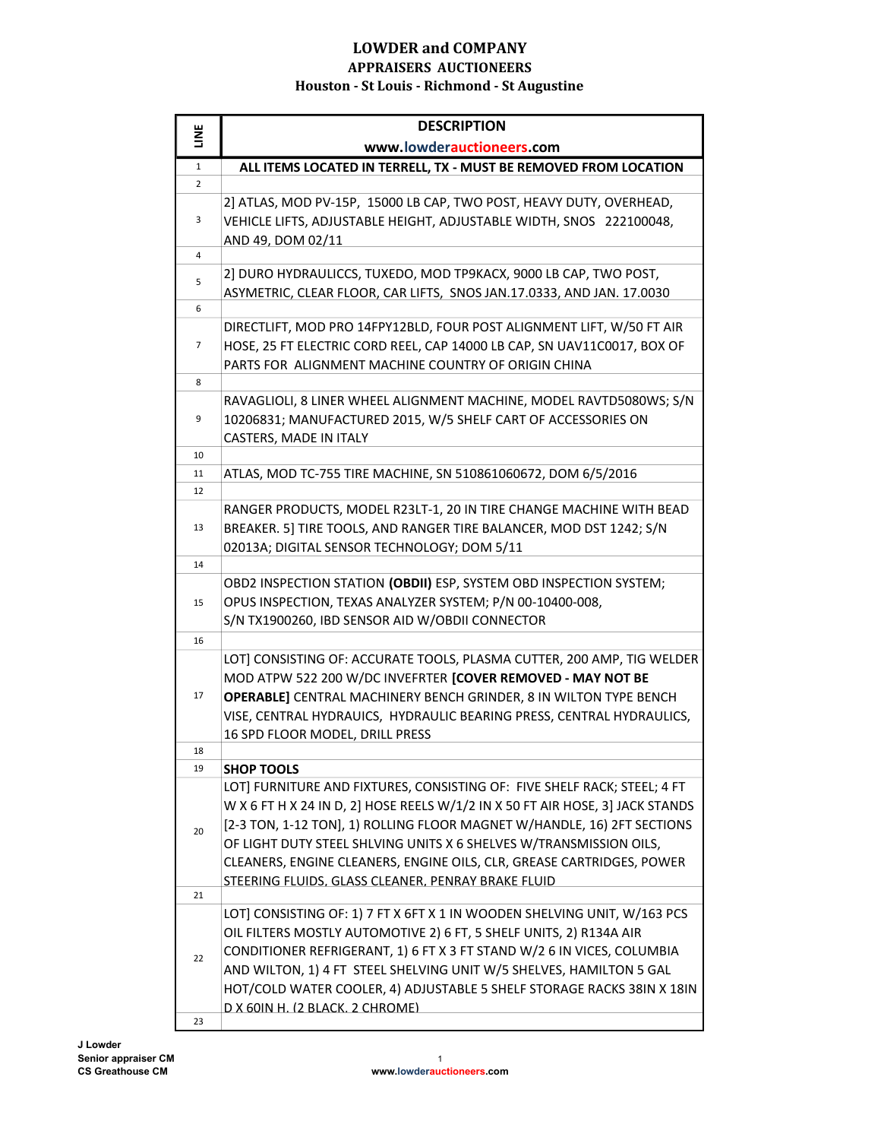| <b>TIME</b>    | <b>DESCRIPTION</b>                                                            |
|----------------|-------------------------------------------------------------------------------|
|                | www.lowderauctioneers.com                                                     |
| $\mathbf{1}$   | ALL ITEMS LOCATED IN TERRELL, TX - MUST BE REMOVED FROM LOCATION              |
| 2              |                                                                               |
|                | 2] ATLAS, MOD PV-15P, 15000 LB CAP, TWO POST, HEAVY DUTY, OVERHEAD,           |
| 3              | VEHICLE LIFTS, ADJUSTABLE HEIGHT, ADJUSTABLE WIDTH, SNOS 222100048,           |
|                | AND 49, DOM 02/11                                                             |
| 4              | 2] DURO HYDRAULICCS, TUXEDO, MOD TP9KACX, 9000 LB CAP, TWO POST,              |
| 5              | ASYMETRIC, CLEAR FLOOR, CAR LIFTS, SNOS JAN.17.0333, AND JAN. 17.0030         |
| 6              |                                                                               |
| $\overline{7}$ | DIRECTLIFT, MOD PRO 14FPY12BLD, FOUR POST ALIGNMENT LIFT, W/50 FT AIR         |
|                | HOSE, 25 FT ELECTRIC CORD REEL, CAP 14000 LB CAP, SN UAV11C0017, BOX OF       |
|                | PARTS FOR ALIGNMENT MACHINE COUNTRY OF ORIGIN CHINA                           |
| 8              |                                                                               |
|                | RAVAGLIOLI, 8 LINER WHEEL ALIGNMENT MACHINE, MODEL RAVTD5080WS; S/N           |
| 9              | 10206831; MANUFACTURED 2015, W/5 SHELF CART OF ACCESSORIES ON                 |
|                | CASTERS, MADE IN ITALY                                                        |
| 10             |                                                                               |
| 11<br>12       | ATLAS, MOD TC-755 TIRE MACHINE, SN 510861060672, DOM 6/5/2016                 |
|                | RANGER PRODUCTS, MODEL R23LT-1, 20 IN TIRE CHANGE MACHINE WITH BEAD           |
| 13             | BREAKER. 5] TIRE TOOLS, AND RANGER TIRE BALANCER, MOD DST 1242; S/N           |
|                | 02013A; DIGITAL SENSOR TECHNOLOGY; DOM 5/11                                   |
| 14             |                                                                               |
|                | OBD2 INSPECTION STATION (OBDII) ESP, SYSTEM OBD INSPECTION SYSTEM;            |
| 15             | OPUS INSPECTION, TEXAS ANALYZER SYSTEM; P/N 00-10400-008,                     |
|                | S/N TX1900260, IBD SENSOR AID W/OBDII CONNECTOR                               |
| 16             |                                                                               |
|                | LOT] CONSISTING OF: ACCURATE TOOLS, PLASMA CUTTER, 200 AMP, TIG WELDER        |
|                | MOD ATPW 522 200 W/DC INVEFRTER [COVER REMOVED - MAY NOT BE                   |
| 17             | OPERABLE] CENTRAL MACHINERY BENCH GRINDER, 8 IN WILTON TYPE BENCH             |
|                | VISE, CENTRAL HYDRAUICS, HYDRAULIC BEARING PRESS, CENTRAL HYDRAULICS,         |
|                | 16 SPD FLOOR MODEL, DRILL PRESS                                               |
| 18<br>19       | <b>SHOP TOOLS</b>                                                             |
|                | LOT] FURNITURE AND FIXTURES, CONSISTING OF: FIVE SHELF RACK; STEEL; 4 FT      |
| 20             | W X 6 FT H X 24 IN D, 2] HOSE REELS W/1/2 IN X 50 FT AIR HOSE, 3] JACK STANDS |
|                | [2-3 TON, 1-12 TON], 1) ROLLING FLOOR MAGNET W/HANDLE, 16) 2FT SECTIONS       |
|                | OF LIGHT DUTY STEEL SHLVING UNITS X 6 SHELVES W/TRANSMISSION OILS,            |
|                | CLEANERS, ENGINE CLEANERS, ENGINE OILS, CLR, GREASE CARTRIDGES, POWER         |
|                | STEERING FLUIDS. GLASS CLEANER. PENRAY BRAKE FLUID                            |
| 21             |                                                                               |
|                | LOT] CONSISTING OF: 1) 7 FT X 6FT X 1 IN WOODEN SHELVING UNIT, W/163 PCS      |
| 22             | OIL FILTERS MOSTLY AUTOMOTIVE 2) 6 FT, 5 SHELF UNITS, 2) R134A AIR            |
|                | CONDITIONER REFRIGERANT, 1) 6 FT X 3 FT STAND W/2 6 IN VICES, COLUMBIA        |
|                | AND WILTON, 1) 4 FT STEEL SHELVING UNIT W/5 SHELVES, HAMILTON 5 GAL           |
|                | HOT/COLD WATER COOLER, 4) ADJUSTABLE 5 SHELF STORAGE RACKS 38IN X 18IN        |
| 23             | D X 60IN H. (2 BLACK. 2 CHROME)                                               |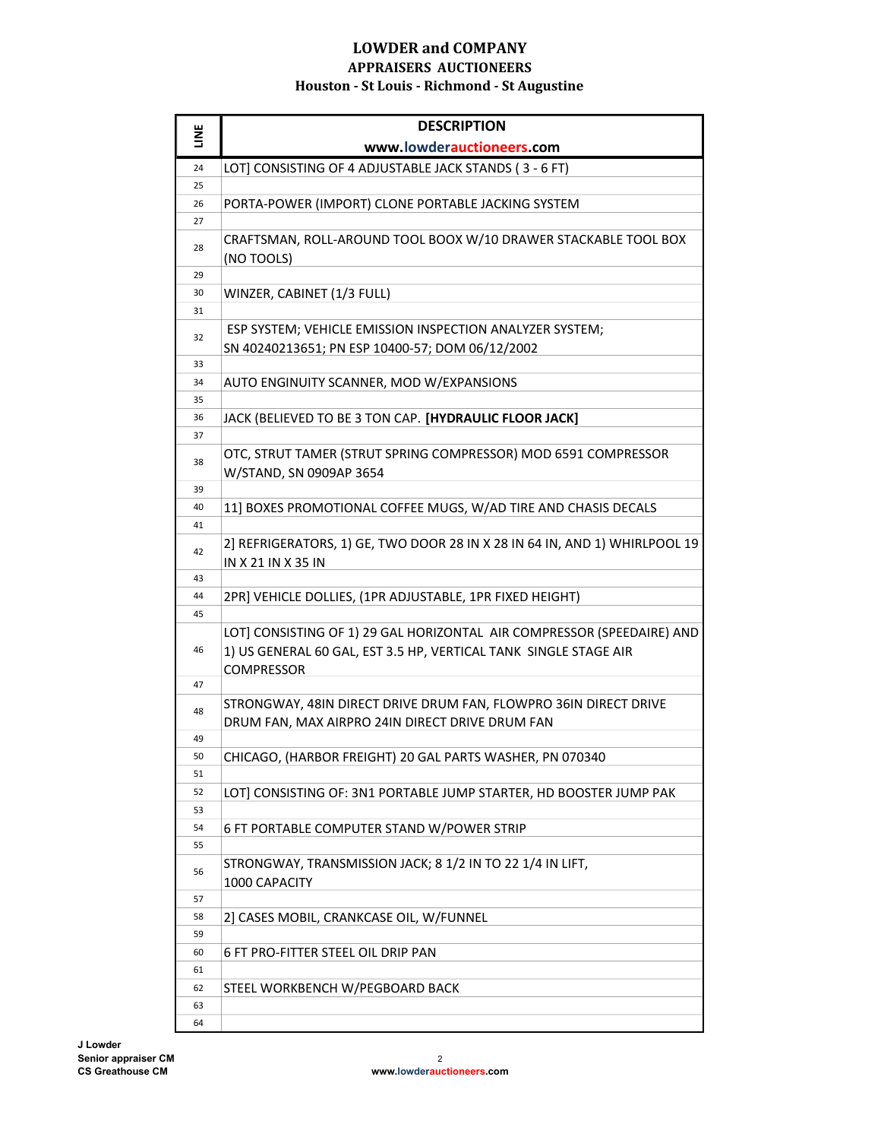| <b>TINE</b> | <b>DESCRIPTION</b>                                                                                                                                       |
|-------------|----------------------------------------------------------------------------------------------------------------------------------------------------------|
|             | www.lowderauctioneers.com                                                                                                                                |
| 24          | LOT] CONSISTING OF 4 ADJUSTABLE JACK STANDS (3 - 6 FT)                                                                                                   |
| 25          |                                                                                                                                                          |
| 26          | PORTA-POWER (IMPORT) CLONE PORTABLE JACKING SYSTEM                                                                                                       |
| 27          |                                                                                                                                                          |
| 28          | CRAFTSMAN, ROLL-AROUND TOOL BOOX W/10 DRAWER STACKABLE TOOL BOX<br>(NO TOOLS)                                                                            |
| 29          |                                                                                                                                                          |
| 30          | WINZER, CABINET (1/3 FULL)                                                                                                                               |
| 31          |                                                                                                                                                          |
| 32          | ESP SYSTEM; VEHICLE EMISSION INSPECTION ANALYZER SYSTEM;<br>SN 40240213651; PN ESP 10400-57; DOM 06/12/2002                                              |
| 33          |                                                                                                                                                          |
| 34          | AUTO ENGINUITY SCANNER, MOD W/EXPANSIONS                                                                                                                 |
| 35          |                                                                                                                                                          |
| 36          | JACK (BELIEVED TO BE 3 TON CAP. [HYDRAULIC FLOOR JACK]                                                                                                   |
| 37          |                                                                                                                                                          |
| 38          | OTC, STRUT TAMER (STRUT SPRING COMPRESSOR) MOD 6591 COMPRESSOR<br>W/STAND, SN 0909AP 3654                                                                |
| 39          |                                                                                                                                                          |
| 40          | 11] BOXES PROMOTIONAL COFFEE MUGS, W/AD TIRE AND CHASIS DECALS                                                                                           |
| 41          |                                                                                                                                                          |
| 42          | 2] REFRIGERATORS, 1) GE, TWO DOOR 28 IN X 28 IN 64 IN, AND 1) WHIRLPOOL 19<br>IN X 21 IN X 35 IN                                                         |
| 43          |                                                                                                                                                          |
| 44          | 2PR] VEHICLE DOLLIES, (1PR ADJUSTABLE, 1PR FIXED HEIGHT)                                                                                                 |
| 45          |                                                                                                                                                          |
| 46          | LOT] CONSISTING OF 1) 29 GAL HORIZONTAL AIR COMPRESSOR (SPEEDAIRE) AND<br>1) US GENERAL 60 GAL, EST 3.5 HP, VERTICAL TANK SINGLE STAGE AIR<br>COMPRESSOR |
| 47          |                                                                                                                                                          |
| 48          | STRONGWAY, 48IN DIRECT DRIVE DRUM FAN, FLOWPRO 36IN DIRECT DRIVE<br>DRUM FAN, MAX AIRPRO 24IN DIRECT DRIVE DRUM FAN                                      |
| 49          |                                                                                                                                                          |
| 50          | CHICAGO, (HARBOR FREIGHT) 20 GAL PARTS WASHER, PN 070340                                                                                                 |
| 51          |                                                                                                                                                          |
| 52          | LOT] CONSISTING OF: 3N1 PORTABLE JUMP STARTER, HD BOOSTER JUMP PAK                                                                                       |
| 53          |                                                                                                                                                          |
| 54          | 6 FT PORTABLE COMPUTER STAND W/POWER STRIP                                                                                                               |
| 55          |                                                                                                                                                          |
| 56          | STRONGWAY, TRANSMISSION JACK; 8 1/2 IN TO 22 1/4 IN LIFT,<br>1000 CAPACITY                                                                               |
| 57          |                                                                                                                                                          |
| 58          | 2] CASES MOBIL, CRANKCASE OIL, W/FUNNEL                                                                                                                  |
| 59          |                                                                                                                                                          |
| 60          | 6 FT PRO-FITTER STEEL OIL DRIP PAN                                                                                                                       |
| 61          |                                                                                                                                                          |
| 62          | STEEL WORKBENCH W/PEGBOARD BACK                                                                                                                          |
| 63          |                                                                                                                                                          |
| 64          |                                                                                                                                                          |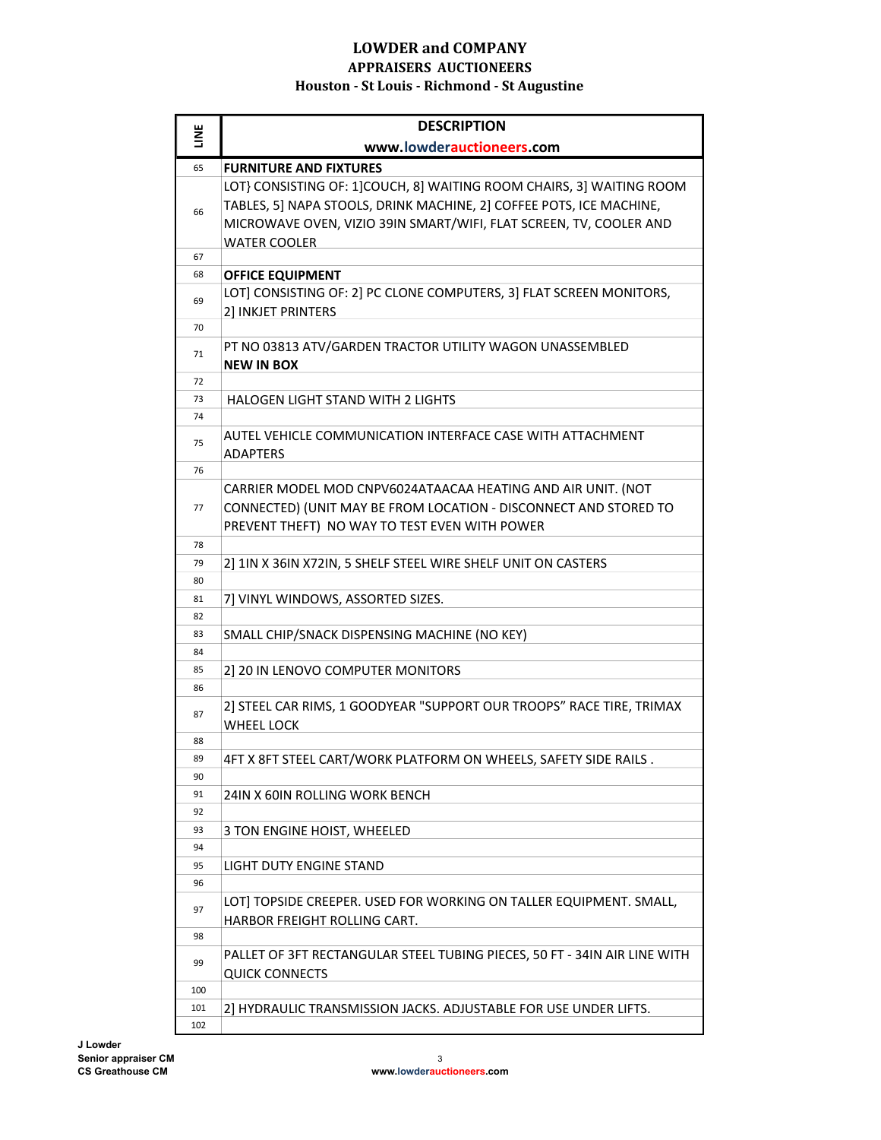| LINE       | <b>DESCRIPTION</b>                                                                             |
|------------|------------------------------------------------------------------------------------------------|
|            | www.lowderauctioneers.com                                                                      |
| 65         | <b>FURNITURE AND FIXTURES</b>                                                                  |
|            | LOT} CONSISTING OF: 1] COUCH, 8] WAITING ROOM CHAIRS, 3] WAITING ROOM                          |
| 66         | TABLES, 5] NAPA STOOLS, DRINK MACHINE, 2] COFFEE POTS, ICE MACHINE,                            |
|            | MICROWAVE OVEN, VIZIO 39IN SMART/WIFI, FLAT SCREEN, TV, COOLER AND                             |
|            | <b>WATER COOLER</b>                                                                            |
| 67         |                                                                                                |
| 68         | <b>OFFICE EQUIPMENT</b><br>LOT] CONSISTING OF: 2] PC CLONE COMPUTERS, 3] FLAT SCREEN MONITORS, |
| 69         | 2] INKJET PRINTERS                                                                             |
| 70         |                                                                                                |
| 71         | PT NO 03813 ATV/GARDEN TRACTOR UTILITY WAGON UNASSEMBLED                                       |
| 72         | <b>NEW IN BOX</b>                                                                              |
| 73         | <b>HALOGEN LIGHT STAND WITH 2 LIGHTS</b>                                                       |
| 74         |                                                                                                |
|            | AUTEL VEHICLE COMMUNICATION INTERFACE CASE WITH ATTACHMENT                                     |
| 75         | <b>ADAPTERS</b>                                                                                |
| 76         |                                                                                                |
|            | CARRIER MODEL MOD CNPV6024ATAACAA HEATING AND AIR UNIT. (NOT                                   |
| 77         | CONNECTED) (UNIT MAY BE FROM LOCATION - DISCONNECT AND STORED TO                               |
|            | PREVENT THEFT) NO WAY TO TEST EVEN WITH POWER                                                  |
| 78         |                                                                                                |
| 79         | 2] 1IN X 36IN X72IN, 5 SHELF STEEL WIRE SHELF UNIT ON CASTERS                                  |
| 80         |                                                                                                |
| 81<br>82   | 7] VINYL WINDOWS, ASSORTED SIZES.                                                              |
| 83         | SMALL CHIP/SNACK DISPENSING MACHINE (NO KEY)                                                   |
| 84         |                                                                                                |
| 85         | 2] 20 IN LENOVO COMPUTER MONITORS                                                              |
| 86         |                                                                                                |
| 87         | 2] STEEL CAR RIMS, 1 GOODYEAR "SUPPORT OUR TROOPS" RACE TIRE, TRIMAX                           |
|            | <b>WHEEL LOCK</b>                                                                              |
| 88         |                                                                                                |
| 89         | 4FT X 8FT STEEL CART/WORK PLATFORM ON WHEELS, SAFETY SIDE RAILS                                |
| 90         |                                                                                                |
| 91<br>92   | 24IN X 60IN ROLLING WORK BENCH                                                                 |
| 93         | 3 TON ENGINE HOIST, WHEELED                                                                    |
| 94         |                                                                                                |
| 95         | LIGHT DUTY ENGINE STAND                                                                        |
| 96         |                                                                                                |
| 97         | LOT] TOPSIDE CREEPER. USED FOR WORKING ON TALLER EQUIPMENT. SMALL,                             |
|            | HARBOR FREIGHT ROLLING CART.                                                                   |
| 98         |                                                                                                |
| 99         | PALLET OF 3FT RECTANGULAR STEEL TUBING PIECES, 50 FT - 34IN AIR LINE WITH                      |
|            | <b>QUICK CONNECTS</b>                                                                          |
| 100<br>101 |                                                                                                |
| 102        | 2] HYDRAULIC TRANSMISSION JACKS. ADJUSTABLE FOR USE UNDER LIFTS.                               |
|            |                                                                                                |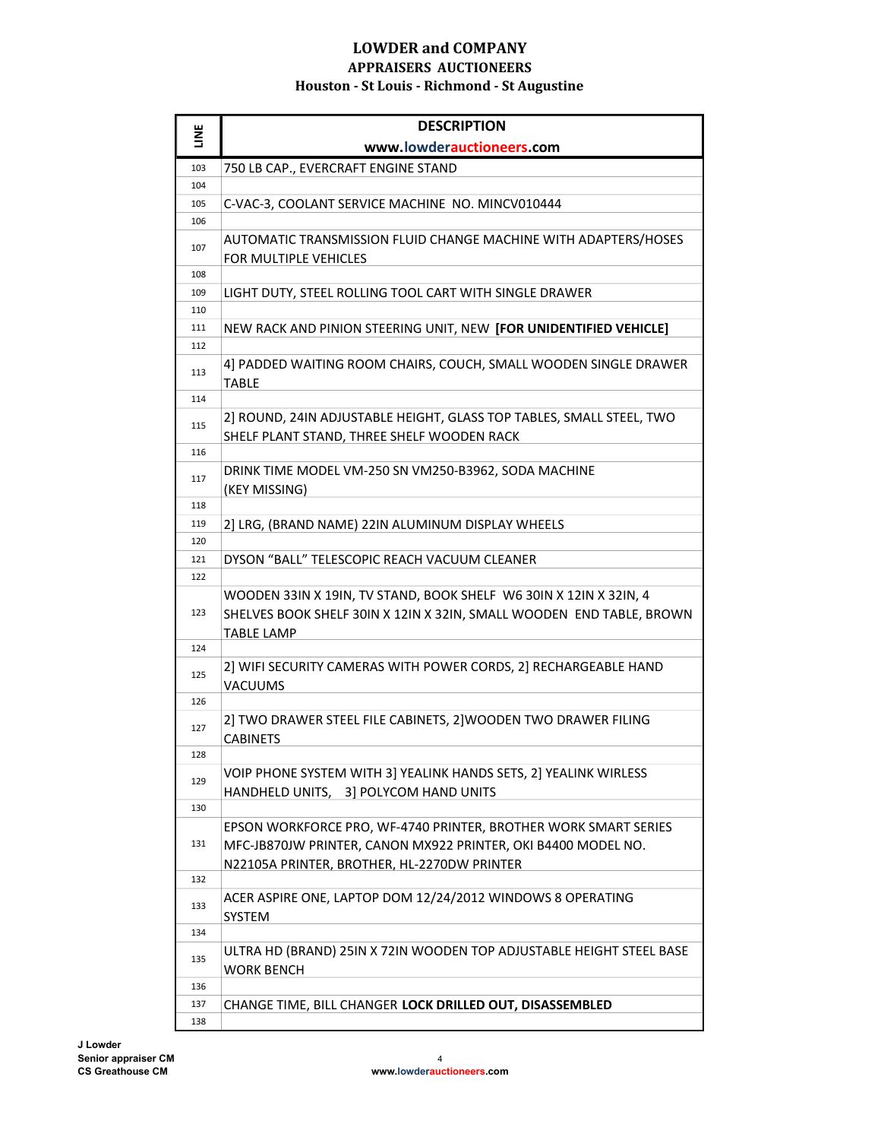|     | <b>DESCRIPTION</b>                                                                                                                                                              |
|-----|---------------------------------------------------------------------------------------------------------------------------------------------------------------------------------|
| ЦNË | www.lowderauctioneers.com                                                                                                                                                       |
| 103 | 750 LB CAP., EVERCRAFT ENGINE STAND                                                                                                                                             |
| 104 |                                                                                                                                                                                 |
| 105 | C-VAC-3, COOLANT SERVICE MACHINE NO. MINCV010444                                                                                                                                |
| 106 |                                                                                                                                                                                 |
| 107 | AUTOMATIC TRANSMISSION FLUID CHANGE MACHINE WITH ADAPTERS/HOSES<br>FOR MULTIPLE VEHICLES                                                                                        |
| 108 |                                                                                                                                                                                 |
| 109 | LIGHT DUTY, STEEL ROLLING TOOL CART WITH SINGLE DRAWER                                                                                                                          |
| 110 |                                                                                                                                                                                 |
| 111 | NEW RACK AND PINION STEERING UNIT, NEW [FOR UNIDENTIFIED VEHICLE]                                                                                                               |
| 112 |                                                                                                                                                                                 |
| 113 | 4] PADDED WAITING ROOM CHAIRS, COUCH, SMALL WOODEN SINGLE DRAWER<br><b>TABLE</b>                                                                                                |
| 114 |                                                                                                                                                                                 |
| 115 | 2] ROUND, 24IN ADJUSTABLE HEIGHT, GLASS TOP TABLES, SMALL STEEL, TWO<br>SHELF PLANT STAND, THREE SHELF WOODEN RACK                                                              |
| 116 |                                                                                                                                                                                 |
| 117 | DRINK TIME MODEL VM-250 SN VM250-B3962, SODA MACHINE<br>(KEY MISSING)                                                                                                           |
| 118 |                                                                                                                                                                                 |
| 119 | 2] LRG, (BRAND NAME) 22IN ALUMINUM DISPLAY WHEELS                                                                                                                               |
| 120 |                                                                                                                                                                                 |
| 121 | DYSON "BALL" TELESCOPIC REACH VACUUM CLEANER                                                                                                                                    |
| 122 |                                                                                                                                                                                 |
|     | WOODEN 33IN X 19IN, TV STAND, BOOK SHELF W6 30IN X 12IN X 32IN, 4                                                                                                               |
| 123 | SHELVES BOOK SHELF 30IN X 12IN X 32IN, SMALL WOODEN END TABLE, BROWN                                                                                                            |
|     | <b>TABLE LAMP</b>                                                                                                                                                               |
| 124 |                                                                                                                                                                                 |
| 125 | 2] WIFI SECURITY CAMERAS WITH POWER CORDS, 2] RECHARGEABLE HAND<br>VACUUMS                                                                                                      |
| 126 |                                                                                                                                                                                 |
| 127 | 2] TWO DRAWER STEEL FILE CABINETS, 2] WOODEN TWO DRAWER FILING<br><b>CABINETS</b>                                                                                               |
| 128 |                                                                                                                                                                                 |
| 129 | VOIP PHONE SYSTEM WITH 3] YEALINK HANDS SETS, 2] YEALINK WIRLESS<br>3] POLYCOM HAND UNITS<br>HANDHELD UNITS,                                                                    |
| 130 |                                                                                                                                                                                 |
| 131 | EPSON WORKFORCE PRO, WF-4740 PRINTER, BROTHER WORK SMART SERIES<br>MFC-JB870JW PRINTER, CANON MX922 PRINTER, OKI B4400 MODEL NO.<br>N22105A PRINTER, BROTHER, HL-2270DW PRINTER |
| 132 |                                                                                                                                                                                 |
| 133 | ACER ASPIRE ONE, LAPTOP DOM 12/24/2012 WINDOWS 8 OPERATING<br>SYSTEM                                                                                                            |
| 134 |                                                                                                                                                                                 |
| 135 | ULTRA HD (BRAND) 25IN X 72IN WOODEN TOP ADJUSTABLE HEIGHT STEEL BASE<br><b>WORK BENCH</b>                                                                                       |
| 136 |                                                                                                                                                                                 |
| 137 | CHANGE TIME, BILL CHANGER LOCK DRILLED OUT, DISASSEMBLED                                                                                                                        |
| 138 |                                                                                                                                                                                 |